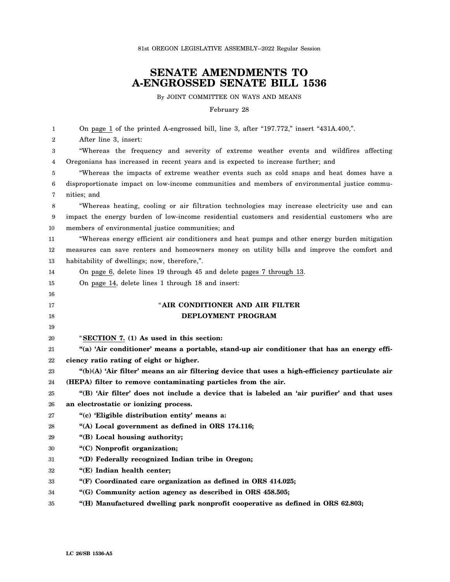81st OREGON LEGISLATIVE ASSEMBLY--2022 Regular Session

## **SENATE AMENDMENTS TO A-ENGROSSED SENATE BILL 1536**

By JOINT COMMITTEE ON WAYS AND MEANS

February 28

| 1            | On page 1 of the printed A-engrossed bill, line 3, after "197.772," insert "431A.400,".           |
|--------------|---------------------------------------------------------------------------------------------------|
| $\mathbf{2}$ | After line 3, insert:                                                                             |
| 3            | "Whereas the frequency and severity of extreme weather events and wildfires affecting             |
| 4            | Oregonians has increased in recent years and is expected to increase further; and                 |
| 5            | "Whereas the impacts of extreme weather events such as cold snaps and heat domes have a           |
| 6            | disproportionate impact on low-income communities and members of environmental justice commu-     |
| 7            | nities; and                                                                                       |
| 8            | "Whereas heating, cooling or air filtration technologies may increase electricity use and can     |
| 9            | impact the energy burden of low-income residential customers and residential customers who are    |
| 10           | members of environmental justice communities; and                                                 |
| 11           | "Whereas energy efficient air conditioners and heat pumps and other energy burden mitigation      |
| 12           | measures can save renters and homeowners money on utility bills and improve the comfort and       |
| 13           | habitability of dwellings; now, therefore,".                                                      |
| 14           | On page 6, delete lines 19 through 45 and delete pages 7 through 13.                              |
| 15           | On page 14, delete lines 1 through 18 and insert:                                                 |
| 16           |                                                                                                   |
| 17           | "AIR CONDITIONER AND AIR FILTER                                                                   |
| 18           | DEPLOYMENT PROGRAM                                                                                |
| 19           |                                                                                                   |
| 20           | "SECTION 7. (1) As used in this section:                                                          |
| 21           | "(a) 'Air conditioner' means a portable, stand-up air conditioner that has an energy effi-        |
| 22           | ciency ratio rating of eight or higher.                                                           |
| 23           | " $(b)(A)$ 'Air filter' means an air filtering device that uses a high-efficiency particulate air |
| 24           | (HEPA) filter to remove contaminating particles from the air.                                     |
| 25           | "(B) 'Air filter' does not include a device that is labeled an 'air purifier' and that uses       |
| 26           | an electrostatic or ionizing process.                                                             |
| 27           | "(c) 'Eligible distribution entity' means a:                                                      |
| 28           | "(A) Local government as defined in ORS 174.116;                                                  |
| 29           | "(B) Local housing authority;                                                                     |
| 30           | "(C) Nonprofit organization;                                                                      |
| 31           | "(D) Federally recognized Indian tribe in Oregon;                                                 |
| 32           | "(E) Indian health center;                                                                        |
| 33           | "(F) Coordinated care organization as defined in ORS 414.025;                                     |
| 34           |                                                                                                   |
|              | "(G) Community action agency as described in ORS 458.505;                                         |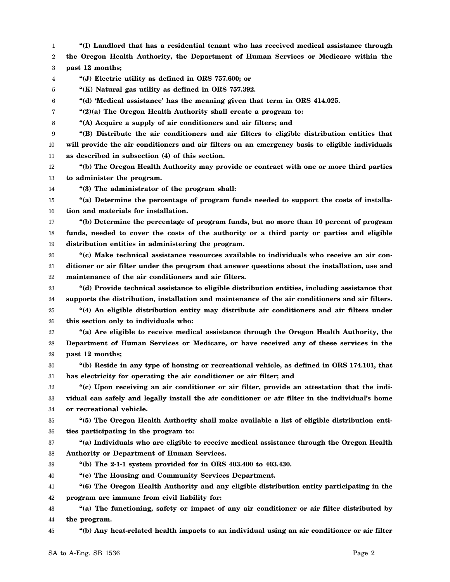1 2 3 4 5 6 7 8 9 10 11 12 13 14 15 16 17 18 19 20 21 22 23 24 25 26 27 28 29 30 31 32 33 34 35 36 37 38 39 40 41 42 43 44 45 **"(I) Landlord that has a residential tenant who has received medical assistance through the Oregon Health Authority, the Department of Human Services or Medicare within the past 12 months; "(J) Electric utility as defined in ORS 757.600; or "(K) Natural gas utility as defined in ORS 757.392. "(d) 'Medical assistance' has the meaning given that term in ORS 414.025. "(2)(a) The Oregon Health Authority shall create a program to: "(A) Acquire a supply of air conditioners and air filters; and "(B) Distribute the air conditioners and air filters to eligible distribution entities that will provide the air conditioners and air filters on an emergency basis to eligible individuals as described in subsection (4) of this section. "(b) The Oregon Health Authority may provide or contract with one or more third parties to administer the program. "(3) The administrator of the program shall: "(a) Determine the percentage of program funds needed to support the costs of installation and materials for installation. "(b) Determine the percentage of program funds, but no more than 10 percent of program funds, needed to cover the costs of the authority or a third party or parties and eligible distribution entities in administering the program. "(c) Make technical assistance resources available to individuals who receive an air conditioner or air filter under the program that answer questions about the installation, use and maintenance of the air conditioners and air filters. "(d) Provide technical assistance to eligible distribution entities, including assistance that supports the distribution, installation and maintenance of the air conditioners and air filters. "(4) An eligible distribution entity may distribute air conditioners and air filters under this section only to individuals who: "(a) Are eligible to receive medical assistance through the Oregon Health Authority, the Department of Human Services or Medicare, or have received any of these services in the past 12 months; "(b) Reside in any type of housing or recreational vehicle, as defined in ORS 174.101, that has electricity for operating the air conditioner or air filter; and "(c) Upon receiving an air conditioner or air filter, provide an attestation that the individual can safely and legally install the air conditioner or air filter in the individual's home or recreational vehicle. "(5) The Oregon Health Authority shall make available a list of eligible distribution entities participating in the program to: "(a) Individuals who are eligible to receive medical assistance through the Oregon Health Authority or Department of Human Services. "(b) The 2-1-1 system provided for in ORS 403.400 to 403.430. "(c) The Housing and Community Services Department. "(6) The Oregon Health Authority and any eligible distribution entity participating in the program are immune from civil liability for: "(a) The functioning, safety or impact of any air conditioner or air filter distributed by the program. "(b) Any heat-related health impacts to an individual using an air conditioner or air filter**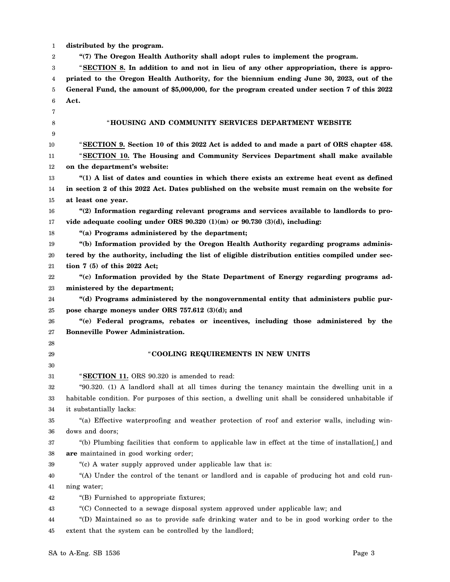| distributed by the program.<br>1 |  |  |  |
|----------------------------------|--|--|--|
|----------------------------------|--|--|--|

2 **"(7) The Oregon Health Authority shall adopt rules to implement the program.**

3 4 5 6 "**SECTION 8. In addition to and not in lieu of any other appropriation, there is appropriated to the Oregon Health Authority, for the biennium ending June 30, 2023, out of the General Fund, the amount of \$5,000,000, for the program created under section 7 of this 2022 Act.**

| 7  |                                                                                                       |
|----|-------------------------------------------------------------------------------------------------------|
| 8  | "HOUSING AND COMMUNITY SERVICES DEPARTMENT WEBSITE                                                    |
| 9  |                                                                                                       |
| 10 | "SECTION 9. Section 10 of this 2022 Act is added to and made a part of ORS chapter 458.               |
| 11 | "SECTION 10. The Housing and Community Services Department shall make available                       |
| 12 | on the department's website:                                                                          |
| 13 | "(1) A list of dates and counties in which there exists an extreme heat event as defined              |
| 14 | in section 2 of this 2022 Act. Dates published on the website must remain on the website for          |
| 15 | at least one year.                                                                                    |
| 16 | "(2) Information regarding relevant programs and services available to landlords to pro-              |
| 17 | vide adequate cooling under ORS $90.320(1)(m)$ or $90.730(3)(d)$ , including:                         |
| 18 | "(a) Programs administered by the department;                                                         |
| 19 | "(b) Information provided by the Oregon Health Authority regarding programs adminis-                  |
| 20 | tered by the authority, including the list of eligible distribution entities compiled under sec-      |
| 21 | tion $7(5)$ of this 2022 Act;                                                                         |
| 22 | "(c) Information provided by the State Department of Energy regarding programs ad-                    |
| 23 | ministered by the department;                                                                         |
| 24 | "(d) Programs administered by the nongovernmental entity that administers public pur-                 |
| 25 | pose charge moneys under ORS 757.612 (3)(d); and                                                      |
| 26 | "(e) Federal programs, rebates or incentives, including those administered by the                     |
| 27 | <b>Bonneville Power Administration.</b>                                                               |
| 28 |                                                                                                       |
| 29 | "COOLING REQUIREMENTS IN NEW UNITS                                                                    |
| 30 |                                                                                                       |
| 31 | "SECTION 11. ORS 90.320 is amended to read:                                                           |
| 32 | "90.320. (1) A landlord shall at all times during the tenancy maintain the dwelling unit in a         |
| 33 | habitable condition. For purposes of this section, a dwelling unit shall be considered unhabitable if |
| 34 | it substantially lacks:                                                                               |
| 35 | "(a) Effective waterproofing and weather protection of roof and exterior walls, including win-        |
| 36 | dows and doors;                                                                                       |
| 37 | "(b) Plumbing facilities that conform to applicable law in effect at the time of installation[,] and  |
| 38 | are maintained in good working order;                                                                 |
| 39 | "(c) A water supply approved under applicable law that is:                                            |
| 40 | "(A) Under the control of the tenant or landlord and is capable of producing hot and cold run-        |
| 41 | ning water;                                                                                           |
| 42 | "(B) Furnished to appropriate fixtures;                                                               |
| 43 | "(C) Connected to a sewage disposal system approved under applicable law; and                         |
| 44 | "(D) Maintained so as to provide safe drinking water and to be in good working order to the           |
| 45 | extent that the system can be controlled by the landlord;                                             |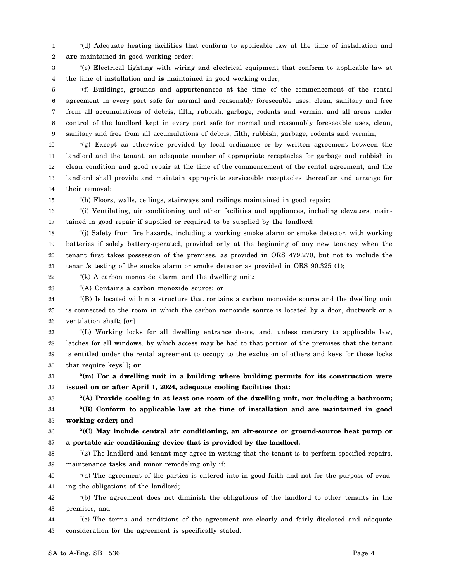1 2 "(d) Adequate heating facilities that conform to applicable law at the time of installation and **are** maintained in good working order;

3 4 "(e) Electrical lighting with wiring and electrical equipment that conform to applicable law at the time of installation and **is** maintained in good working order;

5 6 7 8 9 "(f) Buildings, grounds and appurtenances at the time of the commencement of the rental agreement in every part safe for normal and reasonably foreseeable uses, clean, sanitary and free from all accumulations of debris, filth, rubbish, garbage, rodents and vermin, and all areas under control of the landlord kept in every part safe for normal and reasonably foreseeable uses, clean, sanitary and free from all accumulations of debris, filth, rubbish, garbage, rodents and vermin;

10 11 12 13 14 "(g) Except as otherwise provided by local ordinance or by written agreement between the landlord and the tenant, an adequate number of appropriate receptacles for garbage and rubbish in clean condition and good repair at the time of the commencement of the rental agreement, and the landlord shall provide and maintain appropriate serviceable receptacles thereafter and arrange for their removal;

15

33

"(h) Floors, walls, ceilings, stairways and railings maintained in good repair;

16 17 "(i) Ventilating, air conditioning and other facilities and appliances, including elevators, maintained in good repair if supplied or required to be supplied by the landlord;

18 19 20 21 "(j) Safety from fire hazards, including a working smoke alarm or smoke detector, with working batteries if solely battery-operated, provided only at the beginning of any new tenancy when the tenant first takes possession of the premises, as provided in ORS 479.270, but not to include the tenant's testing of the smoke alarm or smoke detector as provided in ORS 90.325 (1);

22 "(k) A carbon monoxide alarm, and the dwelling unit:

23 "(A) Contains a carbon monoxide source; or

24 25 26 "(B) Is located within a structure that contains a carbon monoxide source and the dwelling unit is connected to the room in which the carbon monoxide source is located by a door, ductwork or a ventilation shaft; [*or*]

27 28 29 30 "(L) Working locks for all dwelling entrance doors, and, unless contrary to applicable law, latches for all windows, by which access may be had to that portion of the premises that the tenant is entitled under the rental agreement to occupy to the exclusion of others and keys for those locks that require keys[*.*]**; or**

31 32 **"(m) For a dwelling unit in a building where building permits for its construction were issued on or after April 1, 2024, adequate cooling facilities that:**

**"(A) Provide cooling in at least one room of the dwelling unit, not including a bathroom;**

34 35 **"(B) Conform to applicable law at the time of installation and are maintained in good working order; and**

36 37 **"(C) May include central air conditioning, an air-source or ground-source heat pump or a portable air conditioning device that is provided by the landlord.**

38 39 "(2) The landlord and tenant may agree in writing that the tenant is to perform specified repairs, maintenance tasks and minor remodeling only if:

40 41 "(a) The agreement of the parties is entered into in good faith and not for the purpose of evading the obligations of the landlord;

42 43 "(b) The agreement does not diminish the obligations of the landlord to other tenants in the premises; and

44 45 "(c) The terms and conditions of the agreement are clearly and fairly disclosed and adequate consideration for the agreement is specifically stated.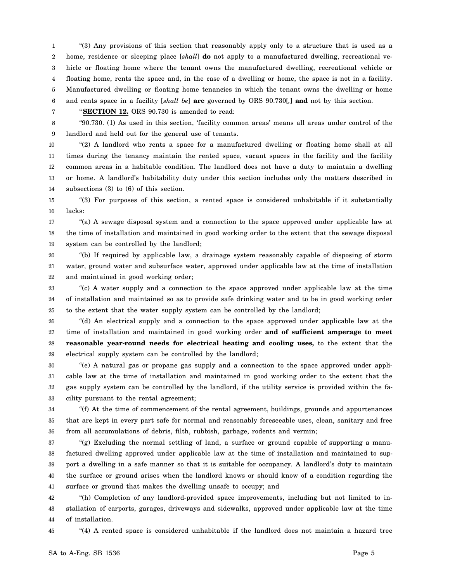1 2 3 4 5 6 "(3) Any provisions of this section that reasonably apply only to a structure that is used as a home, residence or sleeping place [*shall*] **do** not apply to a manufactured dwelling, recreational vehicle or floating home where the tenant owns the manufactured dwelling, recreational vehicle or floating home, rents the space and, in the case of a dwelling or home, the space is not in a facility. Manufactured dwelling or floating home tenancies in which the tenant owns the dwelling or home and rents space in a facility [*shall be*] **are** governed by ORS 90.730[*,*] **and** not by this section.

7

"**SECTION 12.** ORS 90.730 is amended to read:

8 9 "90.730. (1) As used in this section, 'facility common areas' means all areas under control of the landlord and held out for the general use of tenants.

10 11 12 13 14 "(2) A landlord who rents a space for a manufactured dwelling or floating home shall at all times during the tenancy maintain the rented space, vacant spaces in the facility and the facility common areas in a habitable condition. The landlord does not have a duty to maintain a dwelling or home. A landlord's habitability duty under this section includes only the matters described in subsections (3) to (6) of this section.

15 16 "(3) For purposes of this section, a rented space is considered unhabitable if it substantially lacks:

17 18 19 "(a) A sewage disposal system and a connection to the space approved under applicable law at the time of installation and maintained in good working order to the extent that the sewage disposal system can be controlled by the landlord;

20 21 22 "(b) If required by applicable law, a drainage system reasonably capable of disposing of storm water, ground water and subsurface water, approved under applicable law at the time of installation and maintained in good working order;

23 24 25 "(c) A water supply and a connection to the space approved under applicable law at the time of installation and maintained so as to provide safe drinking water and to be in good working order to the extent that the water supply system can be controlled by the landlord;

26 27 28 29 "(d) An electrical supply and a connection to the space approved under applicable law at the time of installation and maintained in good working order **and of sufficient amperage to meet reasonable year-round needs for electrical heating and cooling uses,** to the extent that the electrical supply system can be controlled by the landlord;

30 31 32 33 "(e) A natural gas or propane gas supply and a connection to the space approved under applicable law at the time of installation and maintained in good working order to the extent that the gas supply system can be controlled by the landlord, if the utility service is provided within the facility pursuant to the rental agreement;

34 35 36 "(f) At the time of commencement of the rental agreement, buildings, grounds and appurtenances that are kept in every part safe for normal and reasonably foreseeable uses, clean, sanitary and free from all accumulations of debris, filth, rubbish, garbage, rodents and vermin;

37 38 39 40 41  $(g)$  Excluding the normal settling of land, a surface or ground capable of supporting a manufactured dwelling approved under applicable law at the time of installation and maintained to support a dwelling in a safe manner so that it is suitable for occupancy. A landlord's duty to maintain the surface or ground arises when the landlord knows or should know of a condition regarding the surface or ground that makes the dwelling unsafe to occupy; and

42 43 44 "(h) Completion of any landlord-provided space improvements, including but not limited to installation of carports, garages, driveways and sidewalks, approved under applicable law at the time of installation.

45

"(4) A rented space is considered unhabitable if the landlord does not maintain a hazard tree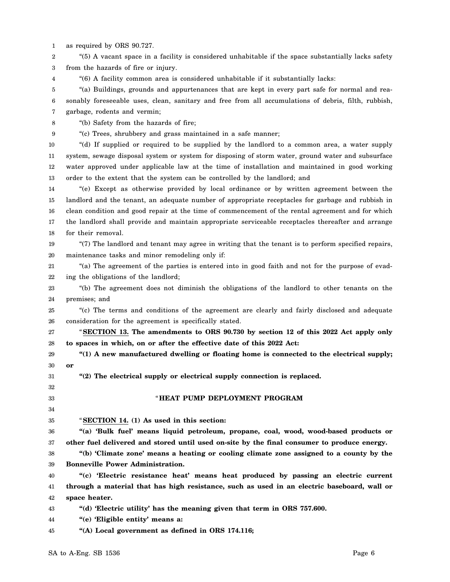1 as required by ORS 90.727.

2 3 "(5) A vacant space in a facility is considered unhabitable if the space substantially lacks safety from the hazards of fire or injury.

4 "(6) A facility common area is considered unhabitable if it substantially lacks:

5 6 7 "(a) Buildings, grounds and appurtenances that are kept in every part safe for normal and reasonably foreseeable uses, clean, sanitary and free from all accumulations of debris, filth, rubbish, garbage, rodents and vermin;

8 "(b) Safety from the hazards of fire;

9 "(c) Trees, shrubbery and grass maintained in a safe manner;

10 11 12 13 "(d) If supplied or required to be supplied by the landlord to a common area, a water supply system, sewage disposal system or system for disposing of storm water, ground water and subsurface water approved under applicable law at the time of installation and maintained in good working order to the extent that the system can be controlled by the landlord; and

14 15 16 17 18 "(e) Except as otherwise provided by local ordinance or by written agreement between the landlord and the tenant, an adequate number of appropriate receptacles for garbage and rubbish in clean condition and good repair at the time of commencement of the rental agreement and for which the landlord shall provide and maintain appropriate serviceable receptacles thereafter and arrange for their removal.

19 20 "(7) The landlord and tenant may agree in writing that the tenant is to perform specified repairs, maintenance tasks and minor remodeling only if:

21 22 "(a) The agreement of the parties is entered into in good faith and not for the purpose of evading the obligations of the landlord;

23 24 "(b) The agreement does not diminish the obligations of the landlord to other tenants on the premises; and

25 26 "(c) The terms and conditions of the agreement are clearly and fairly disclosed and adequate consideration for the agreement is specifically stated.

27 28 "**SECTION 13. The amendments to ORS 90.730 by section 12 of this 2022 Act apply only to spaces in which, on or after the effective date of this 2022 Act:**

29 30 **"(1) A new manufactured dwelling or floating home is connected to the electrical supply; or**

31 **"(2) The electrical supply or electrical supply connection is replaced.**

## "**HEAT PUMP DEPLOYMENT PROGRAM**

35 "**SECTION 14. (1) As used in this section:**

36 37 **"(a) 'Bulk fuel' means liquid petroleum, propane, coal, wood, wood-based products or other fuel delivered and stored until used on-site by the final consumer to produce energy.**

38 39 **"(b) 'Climate zone' means a heating or cooling climate zone assigned to a county by the Bonneville Power Administration.**

40 41 42 **"(c) 'Electric resistance heat' means heat produced by passing an electric current through a material that has high resistance, such as used in an electric baseboard, wall or space heater.**

43 **"(d) 'Electric utility' has the meaning given that term in ORS 757.600.**

44 **"(e) 'Eligible entity' means a:**

45 **"(A) Local government as defined in ORS 174.116;**

32 33 34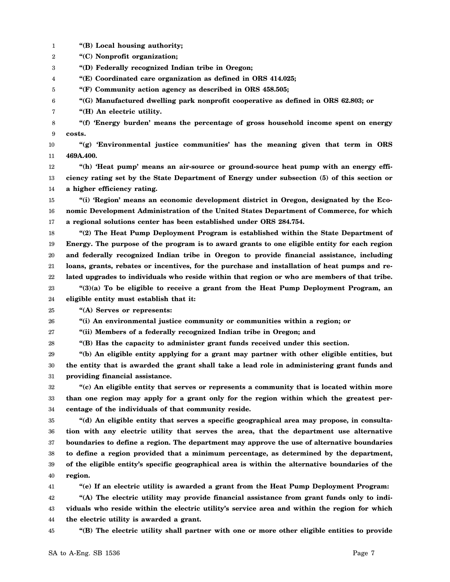**"(C) Nonprofit organization; "(D) Federally recognized Indian tribe in Oregon; "(E) Coordinated care organization as defined in ORS 414.025; "(F) Community action agency as described in ORS 458.505; "(G) Manufactured dwelling park nonprofit cooperative as defined in ORS 62.803; or "(H) An electric utility. "(f) 'Energy burden' means the percentage of gross household income spent on energy costs. "(g) 'Environmental justice communities' has the meaning given that term in ORS 469A.400. "(h) 'Heat pump' means an air-source or ground-source heat pump with an energy efficiency rating set by the State Department of Energy under subsection (5) of this section or a higher efficiency rating. "(i) 'Region' means an economic development district in Oregon, designated by the Economic Development Administration of the United States Department of Commerce, for which a regional solutions center has been established under ORS 284.754. "(2) The Heat Pump Deployment Program is established within the State Department of Energy. The purpose of the program is to award grants to one eligible entity for each region and federally recognized Indian tribe in Oregon to provide financial assistance, including loans, grants, rebates or incentives, for the purchase and installation of heat pumps and related upgrades to individuals who reside within that region or who are members of that tribe. "(3)(a) To be eligible to receive a grant from the Heat Pump Deployment Program, an eligible entity must establish that it: "(A) Serves or represents: "(i) An environmental justice community or communities within a region; or "(ii) Members of a federally recognized Indian tribe in Oregon; and "(B) Has the capacity to administer grant funds received under this section. "(b) An eligible entity applying for a grant may partner with other eligible entities, but the entity that is awarded the grant shall take a lead role in administering grant funds and providing financial assistance. "(c) An eligible entity that serves or represents a community that is located within more than one region may apply for a grant only for the region within which the greatest percentage of the individuals of that community reside. "(d) An eligible entity that serves a specific geographical area may propose, in consultation with any electric utility that serves the area, that the department use alternative boundaries to define a region. The department may approve the use of alternative boundaries to define a region provided that a minimum percentage, as determined by the department, of the eligible entity's specific geographical area is within the alternative boundaries of the region. "(e) If an electric utility is awarded a grant from the Heat Pump Deployment Program: "(A) The electric utility may provide financial assistance from grant funds only to individuals who reside within the electric utility's service area and within the region for which the electric utility is awarded a grant. "(B) The electric utility shall partner with one or more other eligible entities to provide**

**"(B) Local housing authority;**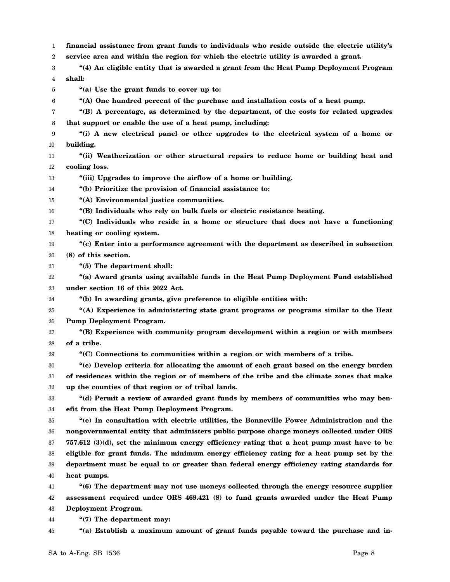1 **financial assistance from grant funds to individuals who reside outside the electric utility's**

2 **service area and within the region for which the electric utility is awarded a grant.**

3 4 **"(4) An eligible entity that is awarded a grant from the Heat Pump Deployment Program shall:**

5 **"(a) Use the grant funds to cover up to:**

6 **"(A) One hundred percent of the purchase and installation costs of a heat pump.**

7 8 **"(B) A percentage, as determined by the department, of the costs for related upgrades that support or enable the use of a heat pump, including:**

9 10 **"(i) A new electrical panel or other upgrades to the electrical system of a home or building.**

- 11 12 **"(ii) Weatherization or other structural repairs to reduce home or building heat and cooling loss.**
- 13 **"(iii) Upgrades to improve the airflow of a home or building.**

14 **"(b) Prioritize the provision of financial assistance to:**

15 **"(A) Environmental justice communities.**

16 **"(B) Individuals who rely on bulk fuels or electric resistance heating.**

17 18 **"(C) Individuals who reside in a home or structure that does not have a functioning heating or cooling system.**

19 20 **"(c) Enter into a performance agreement with the department as described in subsection (8) of this section.**

21 **"(5) The department shall:**

22 23 **"(a) Award grants using available funds in the Heat Pump Deployment Fund established under section 16 of this 2022 Act.**

24 **"(b) In awarding grants, give preference to eligible entities with:**

25 26 **"(A) Experience in administering state grant programs or programs similar to the Heat Pump Deployment Program.**

27 28 **"(B) Experience with community program development within a region or with members of a tribe.**

29 **"(C) Connections to communities within a region or with members of a tribe.**

30 31 32 **"(c) Develop criteria for allocating the amount of each grant based on the energy burden of residences within the region or of members of the tribe and the climate zones that make up the counties of that region or of tribal lands.**

33 34 **"(d) Permit a review of awarded grant funds by members of communities who may benefit from the Heat Pump Deployment Program.**

35 36 37 38 39 40 **"(e) In consultation with electric utilities, the Bonneville Power Administration and the nongovernmental entity that administers public purpose charge moneys collected under ORS 757.612 (3)(d), set the minimum energy efficiency rating that a heat pump must have to be eligible for grant funds. The minimum energy efficiency rating for a heat pump set by the department must be equal to or greater than federal energy efficiency rating standards for heat pumps.**

41 42 43 **"(6) The department may not use moneys collected through the energy resource supplier assessment required under ORS 469.421 (8) to fund grants awarded under the Heat Pump Deployment Program.**

44 **"(7) The department may:**

45 **"(a) Establish a maximum amount of grant funds payable toward the purchase and in-**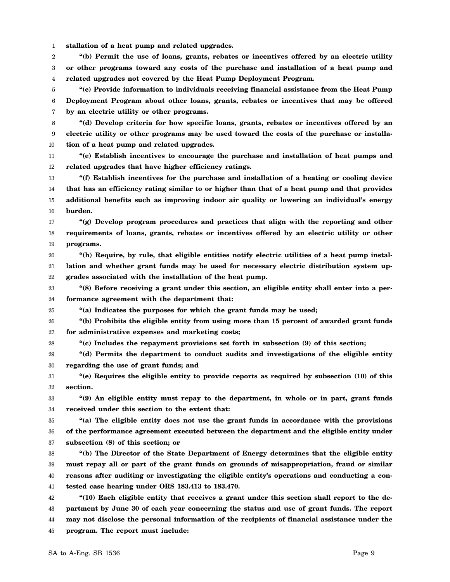1 **stallation of a heat pump and related upgrades.**

2 3 4 **"(b) Permit the use of loans, grants, rebates or incentives offered by an electric utility or other programs toward any costs of the purchase and installation of a heat pump and related upgrades not covered by the Heat Pump Deployment Program.**

5 6 7 **"(c) Provide information to individuals receiving financial assistance from the Heat Pump Deployment Program about other loans, grants, rebates or incentives that may be offered by an electric utility or other programs.**

8 9 10 **"(d) Develop criteria for how specific loans, grants, rebates or incentives offered by an electric utility or other programs may be used toward the costs of the purchase or installation of a heat pump and related upgrades.**

11 12 **"(e) Establish incentives to encourage the purchase and installation of heat pumps and related upgrades that have higher efficiency ratings.**

13 14 15 16 **"(f) Establish incentives for the purchase and installation of a heating or cooling device that has an efficiency rating similar to or higher than that of a heat pump and that provides additional benefits such as improving indoor air quality or lowering an individual's energy burden.**

17 18 19 **"(g) Develop program procedures and practices that align with the reporting and other requirements of loans, grants, rebates or incentives offered by an electric utility or other programs.**

20 21 22 **"(h) Require, by rule, that eligible entities notify electric utilities of a heat pump installation and whether grant funds may be used for necessary electric distribution system upgrades associated with the installation of the heat pump.**

23 24 **"(8) Before receiving a grant under this section, an eligible entity shall enter into a performance agreement with the department that:**

25 **"(a) Indicates the purposes for which the grant funds may be used;**

26 27 **"(b) Prohibits the eligible entity from using more than 15 percent of awarded grant funds for administrative expenses and marketing costs;**

28 **"(c) Includes the repayment provisions set forth in subsection (9) of this section;**

29 30 **"(d) Permits the department to conduct audits and investigations of the eligible entity regarding the use of grant funds; and**

31 32 **"(e) Requires the eligible entity to provide reports as required by subsection (10) of this section.**

33 34 **"(9) An eligible entity must repay to the department, in whole or in part, grant funds received under this section to the extent that:**

35 36 37 **"(a) The eligible entity does not use the grant funds in accordance with the provisions of the performance agreement executed between the department and the eligible entity under subsection (8) of this section; or**

38 39 40 41 **"(b) The Director of the State Department of Energy determines that the eligible entity must repay all or part of the grant funds on grounds of misappropriation, fraud or similar reasons after auditing or investigating the eligible entity's operations and conducting a contested case hearing under ORS 183.413 to 183.470.**

42 43 44 45 **"(10) Each eligible entity that receives a grant under this section shall report to the department by June 30 of each year concerning the status and use of grant funds. The report may not disclose the personal information of the recipients of financial assistance under the program. The report must include:**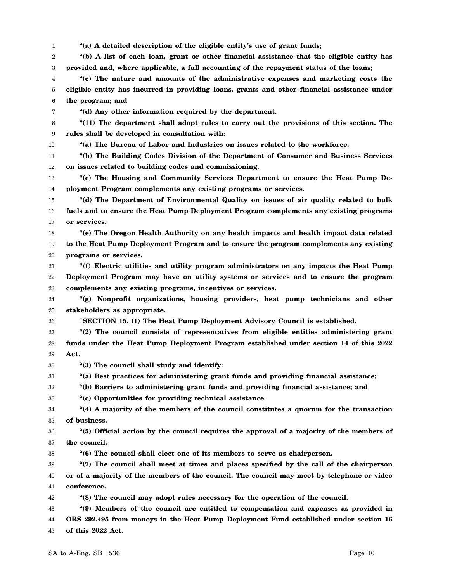1 **"(a) A detailed description of the eligible entity's use of grant funds;**

2 3 **"(b) A list of each loan, grant or other financial assistance that the eligible entity has provided and, where applicable, a full accounting of the repayment status of the loans;**

4 5 6 **"(c) The nature and amounts of the administrative expenses and marketing costs the eligible entity has incurred in providing loans, grants and other financial assistance under the program; and**

**"(d) Any other information required by the department.**

8 9 **"(11) The department shall adopt rules to carry out the provisions of this section. The rules shall be developed in consultation with:**

10

7

**"(a) The Bureau of Labor and Industries on issues related to the workforce.**

11 12 **"(b) The Building Codes Division of the Department of Consumer and Business Services on issues related to building codes and commissioning.**

13 14 **"(c) The Housing and Community Services Department to ensure the Heat Pump Deployment Program complements any existing programs or services.**

15 16 17 **"(d) The Department of Environmental Quality on issues of air quality related to bulk fuels and to ensure the Heat Pump Deployment Program complements any existing programs or services.**

18 19 20 **"(e) The Oregon Health Authority on any health impacts and health impact data related to the Heat Pump Deployment Program and to ensure the program complements any existing programs or services.**

21 22 23 **"(f) Electric utilities and utility program administrators on any impacts the Heat Pump Deployment Program may have on utility systems or services and to ensure the program complements any existing programs, incentives or services.**

24 25 **"(g) Nonprofit organizations, housing providers, heat pump technicians and other stakeholders as appropriate.**

26

"**SECTION 15. (1) The Heat Pump Deployment Advisory Council is established.**

27 28 29 **"(2) The council consists of representatives from eligible entities administering grant funds under the Heat Pump Deployment Program established under section 14 of this 2022 Act.**

30 **"(3) The council shall study and identify:**

31 **"(a) Best practices for administering grant funds and providing financial assistance;**

32 **"(b) Barriers to administering grant funds and providing financial assistance; and**

33 **"(c) Opportunities for providing technical assistance.**

34 35 **"(4) A majority of the members of the council constitutes a quorum for the transaction of business.**

36 37 **"(5) Official action by the council requires the approval of a majority of the members of the council.**

38 **"(6) The council shall elect one of its members to serve as chairperson.**

39 40 41 **"(7) The council shall meet at times and places specified by the call of the chairperson or of a majority of the members of the council. The council may meet by telephone or video conference.**

42 **"(8) The council may adopt rules necessary for the operation of the council.**

43 44 45 **"(9) Members of the council are entitled to compensation and expenses as provided in ORS 292.495 from moneys in the Heat Pump Deployment Fund established under section 16 of this 2022 Act.**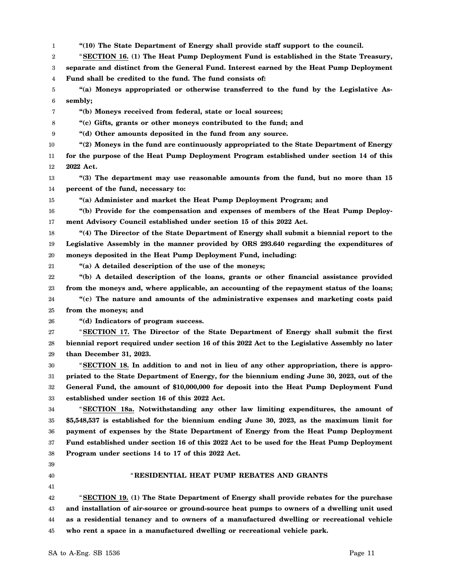1 2 3 4 5 6 7 8 9 10 11 12 13 14 15 16 17 18 19 20 21 22 23 24 25 26 27 28 29 30 31 32 33 34 35 36 37 38 39 40 41 42 43 44 45 **"(10) The State Department of Energy shall provide staff support to the council.** "**SECTION 16. (1) The Heat Pump Deployment Fund is established in the State Treasury, separate and distinct from the General Fund. Interest earned by the Heat Pump Deployment Fund shall be credited to the fund. The fund consists of: "(a) Moneys appropriated or otherwise transferred to the fund by the Legislative Assembly; "(b) Moneys received from federal, state or local sources; "(c) Gifts, grants or other moneys contributed to the fund; and "(d) Other amounts deposited in the fund from any source. "(2) Moneys in the fund are continuously appropriated to the State Department of Energy for the purpose of the Heat Pump Deployment Program established under section 14 of this 2022 Act. "(3) The department may use reasonable amounts from the fund, but no more than 15 percent of the fund, necessary to: "(a) Administer and market the Heat Pump Deployment Program; and "(b) Provide for the compensation and expenses of members of the Heat Pump Deployment Advisory Council established under section 15 of this 2022 Act. "(4) The Director of the State Department of Energy shall submit a biennial report to the Legislative Assembly in the manner provided by ORS 293.640 regarding the expenditures of moneys deposited in the Heat Pump Deployment Fund, including: "(a) A detailed description of the use of the moneys; "(b) A detailed description of the loans, grants or other financial assistance provided from the moneys and, where applicable, an accounting of the repayment status of the loans; "(c) The nature and amounts of the administrative expenses and marketing costs paid from the moneys; and "(d) Indicators of program success.** "**SECTION 17. The Director of the State Department of Energy shall submit the first biennial report required under section 16 of this 2022 Act to the Legislative Assembly no later than December 31, 2023.** "**SECTION 18. In addition to and not in lieu of any other appropriation, there is appropriated to the State Department of Energy, for the biennium ending June 30, 2023, out of the General Fund, the amount of \$10,000,000 for deposit into the Heat Pump Deployment Fund established under section 16 of this 2022 Act.** "**SECTION 18a. Notwithstanding any other law limiting expenditures, the amount of \$5,548,537 is established for the biennium ending June 30, 2023, as the maximum limit for payment of expenses by the State Department of Energy from the Heat Pump Deployment Fund established under section 16 of this 2022 Act to be used for the Heat Pump Deployment Program under sections 14 to 17 of this 2022 Act.** " **RESIDENTIAL HEAT PUMP REBATES AND GRANTS** "**SECTION 19. (1) The State Department of Energy shall provide rebates for the purchase and installation of air-source or ground-source heat pumps to owners of a dwelling unit used as a residential tenancy and to owners of a manufactured dwelling or recreational vehicle who rent a space in a manufactured dwelling or recreational vehicle park.**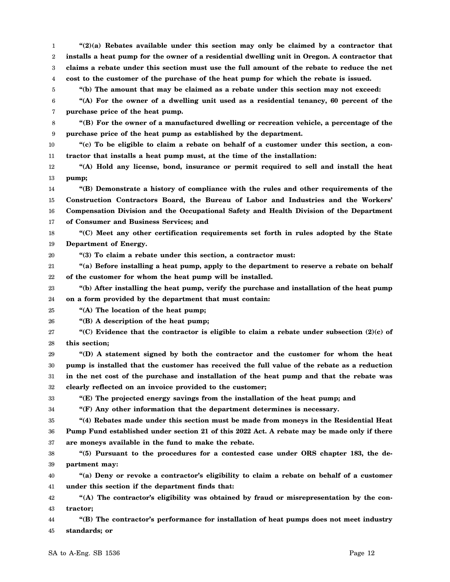5 6 7 8 9 10 11 12 13 14 15 16 17 18 19 20 21 22 23 24 25 26 27 28 29 30 31 32 33 34 35 36 37 38 39 40 41 42 43 44 45 **"(b) The amount that may be claimed as a rebate under this section may not exceed: "(A) For the owner of a dwelling unit used as a residential tenancy, 60 percent of the purchase price of the heat pump. "(B) For the owner of a manufactured dwelling or recreation vehicle, a percentage of the purchase price of the heat pump as established by the department. "(c) To be eligible to claim a rebate on behalf of a customer under this section, a contractor that installs a heat pump must, at the time of the installation: "(A) Hold any license, bond, insurance or permit required to sell and install the heat pump; "(B) Demonstrate a history of compliance with the rules and other requirements of the Construction Contractors Board, the Bureau of Labor and Industries and the Workers' Compensation Division and the Occupational Safety and Health Division of the Department of Consumer and Business Services; and "(C) Meet any other certification requirements set forth in rules adopted by the State Department of Energy. "(3) To claim a rebate under this section, a contractor must: "(a) Before installing a heat pump, apply to the department to reserve a rebate on behalf of the customer for whom the heat pump will be installed. "(b) After installing the heat pump, verify the purchase and installation of the heat pump on a form provided by the department that must contain: "(A) The location of the heat pump; "(B) A description of the heat pump; "(C) Evidence that the contractor is eligible to claim a rebate under subsection (2)(c) of this section; "(D) A statement signed by both the contractor and the customer for whom the heat pump is installed that the customer has received the full value of the rebate as a reduction in the net cost of the purchase and installation of the heat pump and that the rebate was clearly reflected on an invoice provided to the customer; "(E) The projected energy savings from the installation of the heat pump; and "(F) Any other information that the department determines is necessary. "(4) Rebates made under this section must be made from moneys in the Residential Heat Pump Fund established under section 21 of this 2022 Act. A rebate may be made only if there are moneys available in the fund to make the rebate. "(5) Pursuant to the procedures for a contested case under ORS chapter 183, the department may: "(a) Deny or revoke a contractor's eligibility to claim a rebate on behalf of a customer under this section if the department finds that: "(A) The contractor's eligibility was obtained by fraud or misrepresentation by the contractor; "(B) The contractor's performance for installation of heat pumps does not meet industry standards; or** SA to A-Eng. SB 1536 Page 12

**"(2)(a) Rebates available under this section may only be claimed by a contractor that installs a heat pump for the owner of a residential dwelling unit in Oregon. A contractor that claims a rebate under this section must use the full amount of the rebate to reduce the net**

**cost to the customer of the purchase of the heat pump for which the rebate is issued.**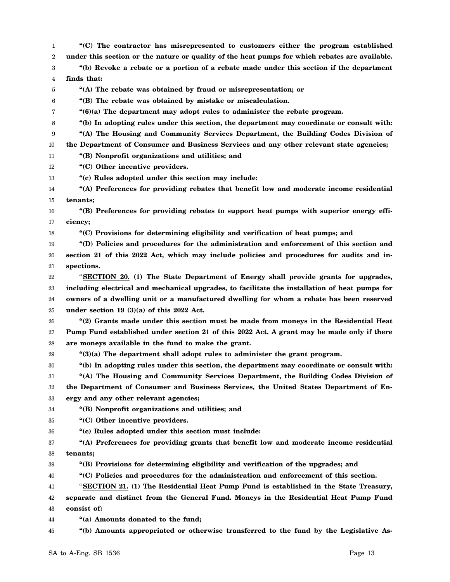1 2 3 4 5 6 7 8 9 10 11 12 13 14 15 16 17 18 19 20 21 22 23 24 25 26 27 28 29 30 31 32 33 34 35 36 37 38 39 40 41 42 43 44 45 **"(C) The contractor has misrepresented to customers either the program established under this section or the nature or quality of the heat pumps for which rebates are available. "(b) Revoke a rebate or a portion of a rebate made under this section if the department finds that: "(A) The rebate was obtained by fraud or misrepresentation; or "(B) The rebate was obtained by mistake or miscalculation. "(6)(a) The department may adopt rules to administer the rebate program. "(b) In adopting rules under this section, the department may coordinate or consult with: "(A) The Housing and Community Services Department, the Building Codes Division of the Department of Consumer and Business Services and any other relevant state agencies; "(B) Nonprofit organizations and utilities; and "(C) Other incentive providers. "(c) Rules adopted under this section may include: "(A) Preferences for providing rebates that benefit low and moderate income residential tenants; "(B) Preferences for providing rebates to support heat pumps with superior energy efficiency; "(C) Provisions for determining eligibility and verification of heat pumps; and "(D) Policies and procedures for the administration and enforcement of this section and section 21 of this 2022 Act, which may include policies and procedures for audits and inspections.** "**SECTION 20. (1) The State Department of Energy shall provide grants for upgrades, including electrical and mechanical upgrades, to facilitate the installation of heat pumps for owners of a dwelling unit or a manufactured dwelling for whom a rebate has been reserved under section 19 (3)(a) of this 2022 Act. "(2) Grants made under this section must be made from moneys in the Residential Heat Pump Fund established under section 21 of this 2022 Act. A grant may be made only if there are moneys available in the fund to make the grant. "(3)(a) The department shall adopt rules to administer the grant program. "(b) In adopting rules under this section, the department may coordinate or consult with: "(A) The Housing and Community Services Department, the Building Codes Division of the Department of Consumer and Business Services, the United States Department of Energy and any other relevant agencies; "(B) Nonprofit organizations and utilities; and "(C) Other incentive providers. "(c) Rules adopted under this section must include: "(A) Preferences for providing grants that benefit low and moderate income residential tenants; "(B) Provisions for determining eligibility and verification of the upgrades; and "(C) Policies and procedures for the administration and enforcement of this section.** "**SECTION 21. (1) The Residential Heat Pump Fund is established in the State Treasury, separate and distinct from the General Fund. Moneys in the Residential Heat Pump Fund consist of: "(a) Amounts donated to the fund; "(b) Amounts appropriated or otherwise transferred to the fund by the Legislative As-**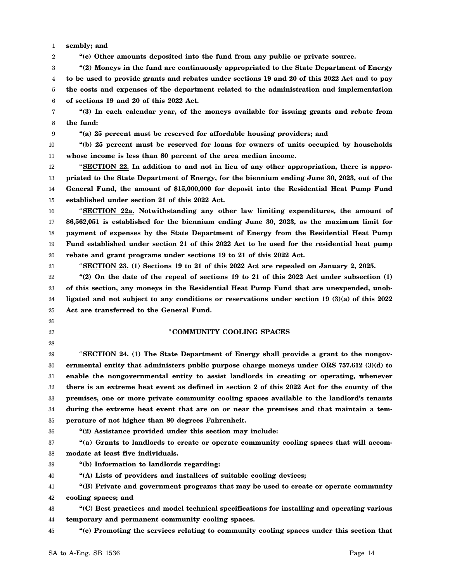1 **sembly; and**

2 **"(c) Other amounts deposited into the fund from any public or private source.**

3 4 5 6 **"(2) Moneys in the fund are continuously appropriated to the State Department of Energy to be used to provide grants and rebates under sections 19 and 20 of this 2022 Act and to pay the costs and expenses of the department related to the administration and implementation of sections 19 and 20 of this 2022 Act.**

7 8 **"(3) In each calendar year, of the moneys available for issuing grants and rebate from the fund:**

9

**"(a) 25 percent must be reserved for affordable housing providers; and**

10 11 **"(b) 25 percent must be reserved for loans for owners of units occupied by households whose income is less than 80 percent of the area median income.**

12 13 14 15 "**SECTION 22. In addition to and not in lieu of any other appropriation, there is appropriated to the State Department of Energy, for the biennium ending June 30, 2023, out of the General Fund, the amount of \$15,000,000 for deposit into the Residential Heat Pump Fund established under section 21 of this 2022 Act.**

16 17 18 19 20 "**SECTION 22a. Notwithstanding any other law limiting expenditures, the amount of \$6,562,051 is established for the biennium ending June 30, 2023, as the maximum limit for payment of expenses by the State Department of Energy from the Residential Heat Pump Fund established under section 21 of this 2022 Act to be used for the residential heat pump rebate and grant programs under sections 19 to 21 of this 2022 Act.**

21

"**SECTION 23. (1) Sections 19 to 21 of this 2022 Act are repealed on January 2, 2025.**

22 23 24 25 **"(2) On the date of the repeal of sections 19 to 21 of this 2022 Act under subsection (1) of this section, any moneys in the Residential Heat Pump Fund that are unexpended, unobligated and not subject to any conditions or reservations under section 19 (3)(a) of this 2022 Act are transferred to the General Fund.**

26

27

28

## "**COMMUNITY COOLING SPACES**

29 30 31 32 33 34 35 "**SECTION 24. (1) The State Department of Energy shall provide a grant to the nongovernmental entity that administers public purpose charge moneys under ORS 757.612 (3)(d) to enable the nongovernmental entity to assist landlords in creating or operating, whenever there is an extreme heat event as defined in section 2 of this 2022 Act for the county of the premises, one or more private community cooling spaces available to the landlord's tenants during the extreme heat event that are on or near the premises and that maintain a temperature of not higher than 80 degrees Fahrenheit.**

36

**"(2) Assistance provided under this section may include:**

37 38 **"(a) Grants to landlords to create or operate community cooling spaces that will accommodate at least five individuals.**

39 **"(b) Information to landlords regarding:**

40 **"(A) Lists of providers and installers of suitable cooling devices;**

41 42 **"(B) Private and government programs that may be used to create or operate community cooling spaces; and**

43 44 **"(C) Best practices and model technical specifications for installing and operating various temporary and permanent community cooling spaces.**

45 **"(c) Promoting the services relating to community cooling spaces under this section that**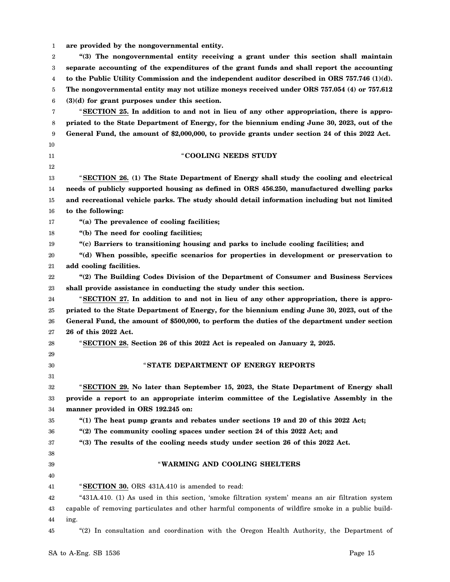| 1  | are provided by the nongovernmental entity.                                                        |
|----|----------------------------------------------------------------------------------------------------|
| 2  | "(3) The nongovernmental entity receiving a grant under this section shall maintain                |
| 3  | separate accounting of the expenditures of the grant funds and shall report the accounting         |
| 4  | to the Public Utility Commission and the independent auditor described in ORS $757.746$ (1)(d).    |
| 5  | The nongovernmental entity may not utilize moneys received under ORS 757.054 (4) or 757.612        |
| 6  | $(3)(d)$ for grant purposes under this section.                                                    |
| 7  | "SECTION 25. In addition to and not in lieu of any other appropriation, there is appro-            |
| 8  | priated to the State Department of Energy, for the biennium ending June 30, 2023, out of the       |
| 9  | General Fund, the amount of \$2,000,000, to provide grants under section 24 of this 2022 Act.      |
| 10 |                                                                                                    |
| 11 | "COOLING NEEDS STUDY                                                                               |
| 12 |                                                                                                    |
| 13 | "SECTION 26. (1) The State Department of Energy shall study the cooling and electrical             |
| 14 | needs of publicly supported housing as defined in ORS 456.250, manufactured dwelling parks         |
| 15 | and recreational vehicle parks. The study should detail information including but not limited      |
| 16 | to the following:                                                                                  |
| 17 | "(a) The prevalence of cooling facilities;                                                         |
| 18 | "(b) The need for cooling facilities;                                                              |
| 19 | "(c) Barriers to transitioning housing and parks to include cooling facilities; and                |
| 20 | "(d) When possible, specific scenarios for properties in development or preservation to            |
| 21 | add cooling facilities.                                                                            |
| 22 | "(2) The Building Codes Division of the Department of Consumer and Business Services               |
| 23 | shall provide assistance in conducting the study under this section.                               |
| 24 | "SECTION 27. In addition to and not in lieu of any other appropriation, there is appro-            |
| 25 | priated to the State Department of Energy, for the biennium ending June 30, 2023, out of the       |
| 26 | General Fund, the amount of \$500,000, to perform the duties of the department under section       |
| 27 | 26 of this 2022 Act.                                                                               |
| 28 | "SECTION 28. Section 26 of this 2022 Act is repealed on January 2, 2025.                           |
| 29 |                                                                                                    |
| 30 | "STATE DEPARTMENT OF ENERGY REPORTS                                                                |
| 31 |                                                                                                    |
| 32 | "SECTION 29. No later than September 15, 2023, the State Department of Energy shall                |
| 33 | provide a report to an appropriate interim committee of the Legislative Assembly in the            |
| 34 | manner provided in ORS 192.245 on:                                                                 |
| 35 | "(1) The heat pump grants and rebates under sections 19 and 20 of this 2022 Act;                   |
| 36 | "(2) The community cooling spaces under section 24 of this 2022 Act; and                           |
| 37 | "(3) The results of the cooling needs study under section 26 of this 2022 Act.                     |
| 38 |                                                                                                    |
| 39 | "WARMING AND COOLING SHELTERS                                                                      |
| 40 |                                                                                                    |
| 41 | "SECTION 30. ORS 431A.410 is amended to read:                                                      |
| 42 | "431A.410. (1) As used in this section, 'smoke filtration system' means an air filtration system   |
| 43 | capable of removing particulates and other harmful components of wildfire smoke in a public build- |
| 44 | ing.                                                                                               |
| 45 | "(2) In consultation and coordination with the Oregon Health Authority, the Department of          |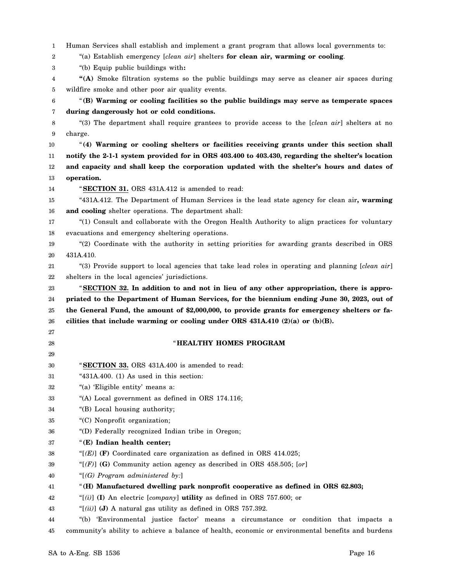| 1  | Human Services shall establish and implement a grant program that allows local governments to:     |
|----|----------------------------------------------------------------------------------------------------|
| 2  | "(a) Establish emergency [clean air] shelters for clean air, warming or cooling.                   |
| 3  | "(b) Equip public buildings with:                                                                  |
| 4  | "(A) Smoke filtration systems so the public buildings may serve as cleaner air spaces during       |
| 5  | wildfire smoke and other poor air quality events.                                                  |
| 6  | "(B) Warming or cooling facilities so the public buildings may serve as temperate spaces           |
| 7  | during dangerously hot or cold conditions.                                                         |
| 8  | "(3) The department shall require grantees to provide access to the [clean air] shelters at no     |
| 9  | charge.                                                                                            |
| 10 | "(4) Warming or cooling shelters or facilities receiving grants under this section shall           |
| 11 | notify the 2-1-1 system provided for in ORS 403.400 to 403.430, regarding the shelter's location   |
| 12 | and capacity and shall keep the corporation updated with the shelter's hours and dates of          |
| 13 | operation.                                                                                         |
| 14 | "SECTION 31. ORS 431A.412 is amended to read:                                                      |
| 15 | "431A.412. The Department of Human Services is the lead state agency for clean air, warming        |
| 16 | and cooling shelter operations. The department shall:                                              |
| 17 | "(1) Consult and collaborate with the Oregon Health Authority to align practices for voluntary     |
| 18 | evacuations and emergency sheltering operations.                                                   |
| 19 | "(2) Coordinate with the authority in setting priorities for awarding grants described in ORS      |
| 20 | 431A.410.                                                                                          |
| 21 | "(3) Provide support to local agencies that take lead roles in operating and planning [clean air]  |
| 22 | shelters in the local agencies' jurisdictions.                                                     |
| 23 | "SECTION 32. In addition to and not in lieu of any other appropriation, there is appro-            |
| 24 | priated to the Department of Human Services, for the biennium ending June 30, 2023, out of         |
| 25 | the General Fund, the amount of \$2,000,000, to provide grants for emergency shelters or fa-       |
| 26 | cilities that include warming or cooling under ORS $431A.410 (2)(a)$ or $(b)(B)$ .                 |
| 27 |                                                                                                    |
| 28 | "HEALTHY HOMES PROGRAM                                                                             |
| 29 |                                                                                                    |
| 30 | "SECTION 33. ORS 431A.400 is amended to read:                                                      |
| 31 | " $431A.400.$ (1) As used in this section:                                                         |
| 32 | "(a) 'Eligible entity' means a:                                                                    |
| 33 | "(A) Local government as defined in ORS 174.116;                                                   |
| 34 | "(B) Local housing authority;                                                                      |
| 35 | "(C) Nonprofit organization;                                                                       |
| 36 | "(D) Federally recognized Indian tribe in Oregon;                                                  |
| 37 | "(E) Indian health center;                                                                         |
| 38 | "[ $(E)$ ] (F) Coordinated care organization as defined in ORS 414.025;                            |
| 39 | "[ $(F)$ ] (G) Community action agency as described in ORS 458.505; [or]                           |
| 40 | "[ $(G)$ Program administered by:]                                                                 |
| 41 | "(H) Manufactured dwelling park nonprofit cooperative as defined in ORS 62.803;                    |
| 42 | "[(i)] (I) An electric [company] <b>utility</b> as defined in ORS 757.600; or                      |
| 43 | "[(ii)] (J) A natural gas utility as defined in ORS 757.392.                                       |
| 44 | "(b) 'Environmental justice factor' means a circumstance or condition that impacts a               |
| 45 | community's ability to achieve a balance of health, economic or environmental benefits and burdens |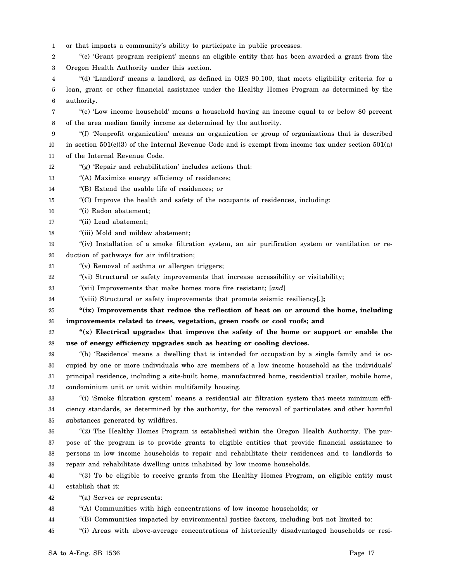1 or that impacts a community's ability to participate in public processes.

2 3 "(c) 'Grant program recipient' means an eligible entity that has been awarded a grant from the Oregon Health Authority under this section.

4 5 6 "(d) 'Landlord' means a landlord, as defined in ORS 90.100, that meets eligibility criteria for a loan, grant or other financial assistance under the Healthy Homes Program as determined by the authority.

7 8 "(e) 'Low income household' means a household having an income equal to or below 80 percent of the area median family income as determined by the authority.

9 10 11 "(f) 'Nonprofit organization' means an organization or group of organizations that is described in section 501(c)(3) of the Internal Revenue Code and is exempt from income tax under section 501(a) of the Internal Revenue Code.

12 "(g) 'Repair and rehabilitation' includes actions that:

13 "(A) Maximize energy efficiency of residences;

14 "(B) Extend the usable life of residences; or

15 "(C) Improve the health and safety of the occupants of residences, including:

- 16 "(i) Radon abatement;
- 17 "(ii) Lead abatement;
- 18 "(iii) Mold and mildew abatement;

19 20 "(iv) Installation of a smoke filtration system, an air purification system or ventilation or reduction of pathways for air infiltration;

21 "(v) Removal of asthma or allergen triggers;

22 "(vi) Structural or safety improvements that increase accessibility or visitability;

23 "(vii) Improvements that make homes more fire resistant; [*and*]

24 "(viii) Structural or safety improvements that promote seismic resiliency[*.*]**;**

25 26 **"(ix) Improvements that reduce the reflection of heat on or around the home, including improvements related to trees, vegetation, green roofs or cool roofs; and**

27 28 **"(x) Electrical upgrades that improve the safety of the home or support or enable the use of energy efficiency upgrades such as heating or cooling devices.**

29 30 31 32 "(h) 'Residence' means a dwelling that is intended for occupation by a single family and is occupied by one or more individuals who are members of a low income household as the individuals' principal residence, including a site-built home, manufactured home, residential trailer, mobile home, condominium unit or unit within multifamily housing.

33 34 35 "(i) 'Smoke filtration system' means a residential air filtration system that meets minimum efficiency standards, as determined by the authority, for the removal of particulates and other harmful substances generated by wildfires.

36 37 38 39 "(2) The Healthy Homes Program is established within the Oregon Health Authority. The purpose of the program is to provide grants to eligible entities that provide financial assistance to persons in low income households to repair and rehabilitate their residences and to landlords to repair and rehabilitate dwelling units inhabited by low income households.

40 41 "(3) To be eligible to receive grants from the Healthy Homes Program, an eligible entity must establish that it:

42 "(a) Serves or represents:

43 "(A) Communities with high concentrations of low income households; or

44 "(B) Communities impacted by environmental justice factors, including but not limited to:

45 "(i) Areas with above-average concentrations of historically disadvantaged households or resi-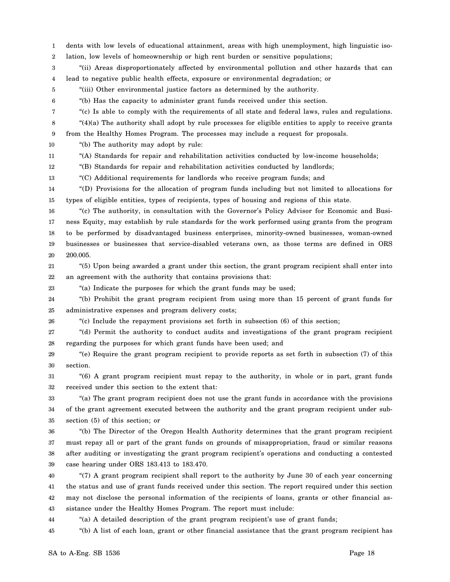1 2 3 4 5 6 7 8 9 10 11 12 13 14 15 16 17 18 19 20 21 22 23 24 25 26 27 28 29 30 31 32 33 34 35 36 37 38 39 40 41 42 43 44 dents with low levels of educational attainment, areas with high unemployment, high linguistic isolation, low levels of homeownership or high rent burden or sensitive populations; "(ii) Areas disproportionately affected by environmental pollution and other hazards that can lead to negative public health effects, exposure or environmental degradation; or "(iii) Other environmental justice factors as determined by the authority. "(b) Has the capacity to administer grant funds received under this section. "(c) Is able to comply with the requirements of all state and federal laws, rules and regulations. "(4)(a) The authority shall adopt by rule processes for eligible entities to apply to receive grants from the Healthy Homes Program. The processes may include a request for proposals. "(b) The authority may adopt by rule: "(A) Standards for repair and rehabilitation activities conducted by low-income households; "(B) Standards for repair and rehabilitation activities conducted by landlords; "(C) Additional requirements for landlords who receive program funds; and "(D) Provisions for the allocation of program funds including but not limited to allocations for types of eligible entities, types of recipients, types of housing and regions of this state. "(c) The authority, in consultation with the Governor's Policy Advisor for Economic and Business Equity, may establish by rule standards for the work performed using grants from the program to be performed by disadvantaged business enterprises, minority-owned businesses, woman-owned businesses or businesses that service-disabled veterans own, as those terms are defined in ORS 200.005. "(5) Upon being awarded a grant under this section, the grant program recipient shall enter into an agreement with the authority that contains provisions that: "(a) Indicate the purposes for which the grant funds may be used; "(b) Prohibit the grant program recipient from using more than 15 percent of grant funds for administrative expenses and program delivery costs; "(c) Include the repayment provisions set forth in subsection (6) of this section; "(d) Permit the authority to conduct audits and investigations of the grant program recipient regarding the purposes for which grant funds have been used; and "(e) Require the grant program recipient to provide reports as set forth in subsection (7) of this section. "(6) A grant program recipient must repay to the authority, in whole or in part, grant funds received under this section to the extent that: "(a) The grant program recipient does not use the grant funds in accordance with the provisions of the grant agreement executed between the authority and the grant program recipient under subsection (5) of this section; or "(b) The Director of the Oregon Health Authority determines that the grant program recipient must repay all or part of the grant funds on grounds of misappropriation, fraud or similar reasons after auditing or investigating the grant program recipient's operations and conducting a contested case hearing under ORS 183.413 to 183.470. "(7) A grant program recipient shall report to the authority by June 30 of each year concerning the status and use of grant funds received under this section. The report required under this section may not disclose the personal information of the recipients of loans, grants or other financial assistance under the Healthy Homes Program. The report must include: "(a) A detailed description of the grant program recipient's use of grant funds;

45 "(b) A list of each loan, grant or other financial assistance that the grant program recipient has